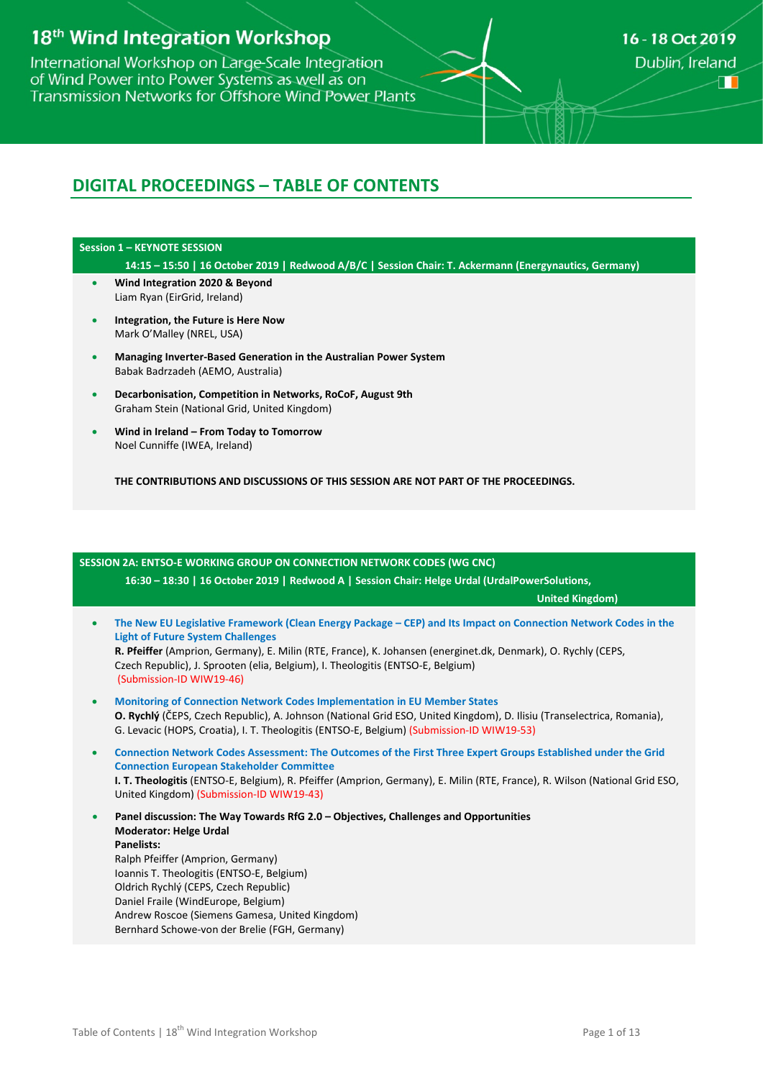# 18<sup>th</sup> Wind Integration Workshop

International Workshop on Large-Scale Integration of Wind Power into Power Systems as well as on Transmission Networks for Offshore Wind Power Plants

# **DIGITAL PROCEEDINGS – TABLE OF CONTENTS**

### **Session 1 – KEYNOTE SESSION**

- **14:15 – 15:50 | 16 October 2019 | Redwood A/B/C | Session Chair: T. Ackermann (Energynautics, Germany)**
- **Wind Integration 2020 & Beyond** Liam Ryan (EirGrid, Ireland)
- **Integration, the Future is Here Now** Mark O'Malley (NREL, USA)
- **Managing Inverter-Based Generation in the Australian Power System** Babak Badrzadeh (AEMO, Australia)
- **Decarbonisation, Competition in Networks, RoCoF, August 9th** Graham Stein (National Grid, United Kingdom)
- **Wind in Ireland – From Today to Tomorrow** Noel Cunniffe (IWEA, Ireland)

**THE CONTRIBUTIONS AND DISCUSSIONS OF THIS SESSION ARE NOT PART OF THE PROCEEDINGS.**

# **SESSION 2A: ENTSO-E WORKING GROUP ON CONNECTION NETWORK CODES (WG CNC) 16:30 – 18:30 | 16 October 2019 | Redwood A | Session Chair: Helge Urdal (UrdalPowerSolutions, United Kingdom)** • **The New EU Legislative Framework (Clean Energy Package – CEP) and Its Impact on Connection Network Codes in the Light of Future System Challenges R. Pfeiffer** (Amprion, Germany), E. Milin (RTE, France), K. Johansen (energinet.dk, Denmark), O. Rychly (CEPS, Czech Republic), J. Sprooten (elia, Belgium), I. Theologitis (ENTSO-E, Belgium) (Submission-ID WIW19-46) • **Monitoring of Connection Network Codes Implementation in EU Member States O. Rychlý** (ČEPS, Czech Republic), A. Johnson (National Grid ESO, United Kingdom), D. Ilisiu (Transelectrica, Romania), G. Levacic (HOPS, Croatia), I. T. Theologitis (ENTSO-E, Belgium) (Submission-ID WIW19-53) • **Connection Network Codes Assessment: The Outcomes of the First Three Expert Groups Established under the Grid Connection European Stakeholder Committee I. T. Theologitis** (ENTSO-E, Belgium), R. Pfeiffer (Amprion, Germany), E. Milin (RTE, France), R. Wilson (National Grid ESO, United Kingdom) (Submission-ID WIW19-43) • **Panel discussion: The Way Towards RfG 2.0 – Objectives, Challenges and Opportunities Moderator: Helge Urdal Panelists:** Ralph Pfeiffer (Amprion, Germany) Ioannis T. Theologitis (ENTSO-E, Belgium) Oldrich Rychlý (CEPS, Czech Republic) Daniel Fraile (WindEurope, Belgium) Andrew Roscoe (Siemens Gamesa, United Kingdom) Bernhard Schowe-von der Brelie (FGH, Germany)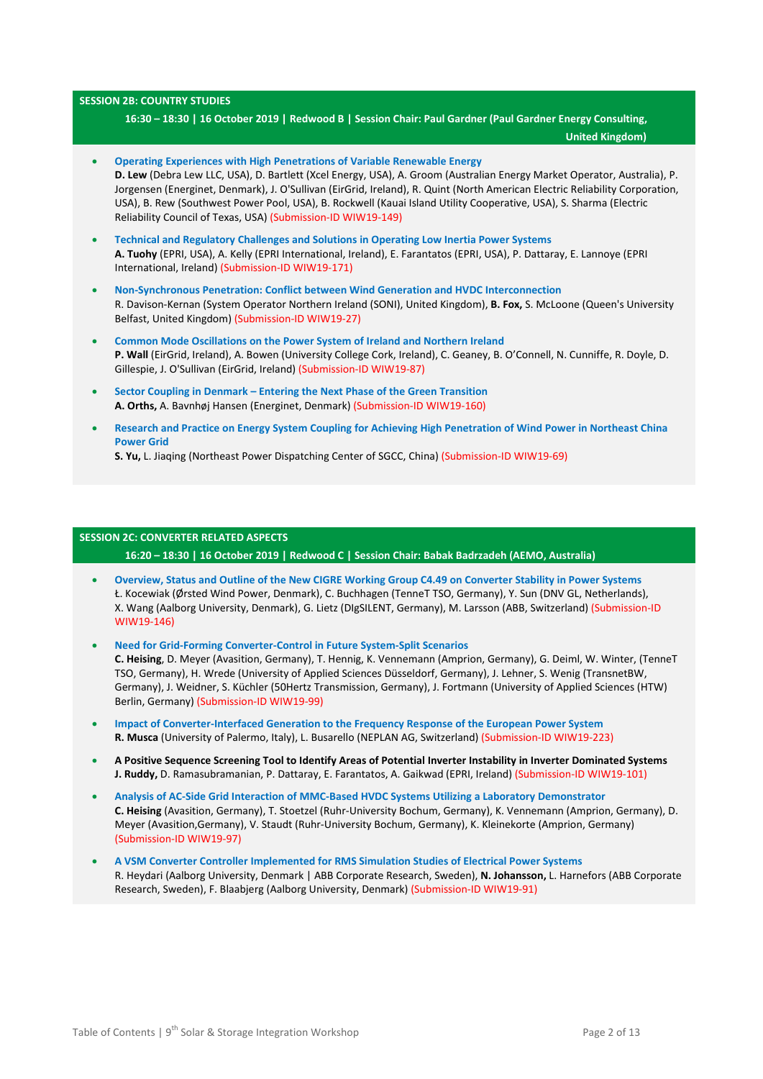### **SESSION 2B: COUNTRY STUDIES**

**16:30 – 18:30 | 16 October 2019 | Redwood B | Session Chair: Paul Gardner (Paul Gardner Energy Consulting,**

 **United Kingdom)**

• **Operating Experiences with High Penetrations of Variable Renewable Energy D. Lew** (Debra Lew LLC, USA), D. Bartlett (Xcel Energy, USA), A. Groom (Australian Energy Market Operator, Australia), P. Jorgensen (Energinet, Denmark), J. O'Sullivan (EirGrid, Ireland), R. Quint (North American Electric Reliability Corporation, USA), B. Rew (Southwest Power Pool, USA), B. Rockwell (Kauai Island Utility Cooperative, USA), S. Sharma (Electric Reliability Council of Texas, USA) (Submission-ID WIW19-149) • **Technical and Regulatory Challenges and Solutions in Operating Low Inertia Power Systems A. Tuohy** (EPRI, USA), A. Kelly (EPRI International, Ireland), E. Farantatos (EPRI, USA), P. Dattaray, E. Lannoye (EPRI International, Ireland) (Submission-ID WIW19-171) • **Non-Synchronous Penetration: Conflict between Wind Generation and HVDC Interconnection** R. Davison-Kernan (System Operator Northern Ireland (SONI), United Kingdom), **B. Fox,** S. McLoone (Queen's University Belfast, United Kingdom) (Submission-ID WIW19-27) • **Common Mode Oscillations on the Power System of Ireland and Northern Ireland P. Wall** (EirGrid, Ireland), A. Bowen (University College Cork, Ireland), C. Geaney, B. O'Connell, N. Cunniffe, R. Doyle, D. Gillespie, J. O'Sullivan (EirGrid, Ireland) (Submission-ID WIW19-87) • **Sector Coupling in Denmark – Entering the Next Phase of the Green Transition A. Orths,** A. Bavnhøj Hansen (Energinet, Denmark) (Submission-ID WIW19-160) • **Research and Practice on Energy System Coupling for Achieving High Penetration of Wind Power in Northeast China Power Grid**

**S. Yu,** L. Jiaqing (Northeast Power Dispatching Center of SGCC, China) (Submission-ID WIW19-69)

### **SESSION 2C: CONVERTER RELATED ASPECTS**

**16:20 – 18:30 | 16 October 2019 | Redwood C | Session Chair: Babak Badrzadeh (AEMO, Australia)**

- **Overview, Status and Outline of the New CIGRE Working Group C4.49 on Converter Stability in Power Systems** Ł. Kocewiak (Ørsted Wind Power, Denmark), C. Buchhagen (TenneT TSO, Germany), Y. Sun (DNV GL, Netherlands), X. Wang (Aalborg University, Denmark), G. Lietz (DIgSILENT, Germany), M. Larsson (ABB, Switzerland) (Submission-ID WIW19-146)
- **Need for Grid-Forming Converter-Control in Future System-Split Scenarios C. Heising**, D. Meyer (Avasition, Germany), T. Hennig, K. Vennemann (Amprion, Germany), G. Deiml, W. Winter, (TenneT TSO, Germany), H. Wrede (University of Applied Sciences Düsseldorf, Germany), J. Lehner, S. Wenig (TransnetBW, Germany), J. Weidner, S. Küchler (50Hertz Transmission, Germany), J. Fortmann (University of Applied Sciences (HTW) Berlin, Germany) (Submission-ID WIW19-99)
- **Impact of Converter-Interfaced Generation to the Frequency Response of the European Power System R. Musca** (University of Palermo, Italy), L. Busarello (NEPLAN AG, Switzerland) (Submission-ID WIW19-223)
- **A Positive Sequence Screening Tool to Identify Areas of Potential Inverter Instability in Inverter Dominated Systems J. Ruddy,** D. Ramasubramanian, P. Dattaray, E. Farantatos, A. Gaikwad (EPRI, Ireland) (Submission-ID WIW19-101)
- **Analysis of AC-Side Grid Interaction of MMC-Based HVDC Systems Utilizing a Laboratory Demonstrator C. Heising** (Avasition, Germany), T. Stoetzel (Ruhr-University Bochum, Germany), K. Vennemann (Amprion, Germany), D. Meyer (Avasition,Germany), V. Staudt (Ruhr-University Bochum, Germany), K. Kleinekorte (Amprion, Germany) (Submission-ID WIW19-97)
- **A VSM Converter Controller Implemented for RMS Simulation Studies of Electrical Power Systems** R. Heydari (Aalborg University, Denmark | ABB Corporate Research, Sweden), **N. Johansson,** L. Harnefors (ABB Corporate Research, Sweden), F. Blaabjerg (Aalborg University, Denmark) (Submission-ID WIW19-91)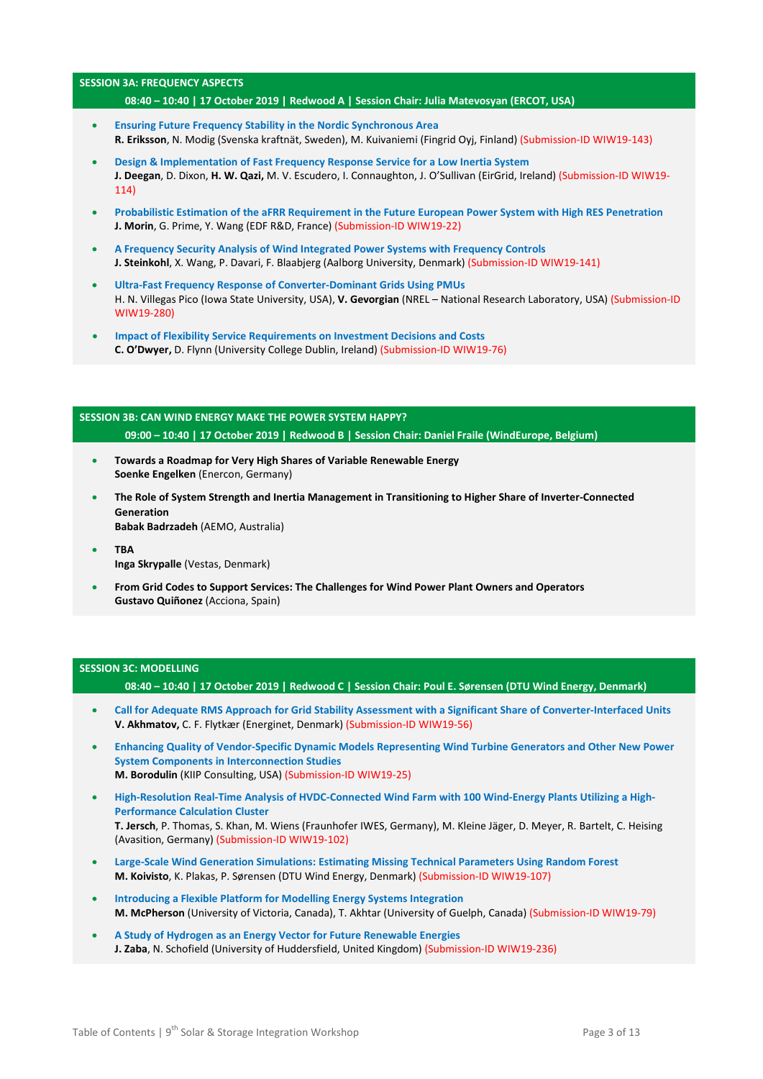### **SESSION 3A: FREQUENCY ASPECTS**

### **08:40 – 10:40 | 17 October 2019 | Redwood A | Session Chair: Julia Matevosyan (ERCOT, USA)**

- **Ensuring Future Frequency Stability in the Nordic Synchronous Area R. Eriksson**, N. Modig (Svenska kraftnät, Sweden), M. Kuivaniemi (Fingrid Oyj, Finland) (Submission-ID WIW19-143)
- **Design & Implementation of Fast Frequency Response Service for a Low Inertia System J. Deegan**, D. Dixon, **H. W. Qazi,** M. V. Escudero, I. Connaughton, J. O'Sullivan (EirGrid, Ireland) (Submission-ID WIW19- 114)
- **Probabilistic Estimation of the aFRR Requirement in the Future European Power System with High RES Penetration J. Morin**, G. Prime, Y. Wang (EDF R&D, France) (Submission-ID WIW19-22)
- **A Frequency Security Analysis of Wind Integrated Power Systems with Frequency Controls J. Steinkohl**, X. Wang, P. Davari, F. Blaabjerg (Aalborg University, Denmark) (Submission-ID WIW19-141)
- **Ultra-Fast Frequency Response of Converter-Dominant Grids Using PMUs** H. N. Villegas Pico (Iowa State University, USA), **V. Gevorgian** (NREL – National Research Laboratory, USA) (Submission-ID WIW19-280)
- **Impact of Flexibility Service Requirements on Investment Decisions and Costs C. O'Dwyer,** D. Flynn (University College Dublin, Ireland) (Submission-ID WIW19-76)

## **SESSION 3B: CAN WIND ENERGY MAKE THE POWER SYSTEM HAPPY? 09:00 – 10:40 | 17 October 2019 | Redwood B | Session Chair: Daniel Fraile (WindEurope, Belgium)**

- **Towards a Roadmap for Very High Shares of Variable Renewable Energy Soenke Engelken** (Enercon, Germany)
- **The Role of System Strength and Inertia Management in Transitioning to Higher Share of Inverter-Connected Generation Babak Badrzadeh** (AEMO, Australia)
- **TBA Inga Skrypalle** (Vestas, Denmark)
- **From Grid Codes to Support Services: The Challenges for Wind Power Plant Owners and Operators Gustavo Quiñonez** (Acciona, Spain)

### **SESSION 3C: MODELLING**

**08:40 – 10:40 | 17 October 2019 | Redwood C | Session Chair: Poul E. Sørensen (DTU Wind Energy, Denmark)**

- **Call for Adequate RMS Approach for Grid Stability Assessment with a Significant Share of Converter-Interfaced Units V. Akhmatov,** C. F. Flytkær (Energinet, Denmark) (Submission-ID WIW19-56)
- **Enhancing Quality of Vendor-Specific Dynamic Models Representing Wind Turbine Generators and Other New Power System Components in Interconnection Studies M. Borodulin** (KIIP Consulting, USA) (Submission-ID WIW19-25)
- **High-Resolution Real-Time Analysis of HVDC-Connected Wind Farm with 100 Wind-Energy Plants Utilizing a High-Performance Calculation Cluster T. Jersch**, P. Thomas, S. Khan, M. Wiens (Fraunhofer IWES, Germany), M. Kleine Jäger, D. Meyer, R. Bartelt, C. Heising (Avasition, Germany) (Submission-ID WIW19-102)
- **Large-Scale Wind Generation Simulations: Estimating Missing Technical Parameters Using Random Forest M. Koivisto**, K. Plakas, P. Sørensen (DTU Wind Energy, Denmark) (Submission-ID WIW19-107)
- **Introducing a Flexible Platform for Modelling Energy Systems Integration M. McPherson** (University of Victoria, Canada), T. Akhtar (University of Guelph, Canada) (Submission-ID WIW19-79)
- **A Study of Hydrogen as an Energy Vector for Future Renewable Energies J. Zaba**, N. Schofield (University of Huddersfield, United Kingdom) (Submission-ID WIW19-236)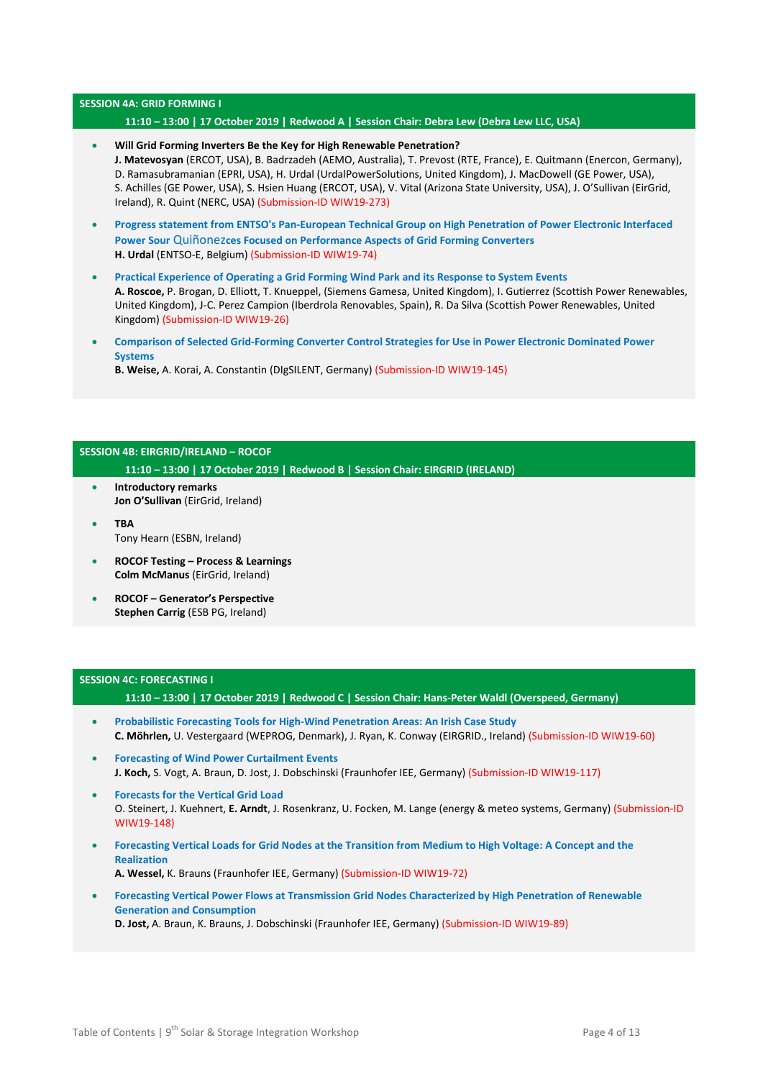### **SESSION 4A: GRID FORMING I**

### **11:10 – 13:00 | 17 October 2019 | Redwood A | Session Chair: Debra Lew (Debra Lew LLC, USA)**

- **Will Grid Forming Inverters Be the Key for High Renewable Penetration? J. Matevosyan** (ERCOT, USA), B. Badrzadeh (AEMO, Australia), T. Prevost (RTE, France), E. Quitmann (Enercon, Germany), D. Ramasubramanian (EPRI, USA), H. Urdal (UrdalPowerSolutions, United Kingdom), J. MacDowell (GE Power, USA), S. Achilles (GE Power, USA), S. Hsien Huang (ERCOT, USA), V. Vital (Arizona State University, USA), J. O'Sullivan (EirGrid, Ireland), R. Quint (NERC, USA) (Submission-ID WIW19-273)
- **Progress statement from ENTSO's Pan-European Technical Group on High Penetration of Power Electronic Interfaced Power Sour** Quiñonez**ces Focused on Performance Aspects of Grid Forming Converters H. Urdal** (ENTSO-E, Belgium) (Submission-ID WIW19-74)
- **Practical Experience of Operating a Grid Forming Wind Park and its Response to System Events A. Roscoe,** P. Brogan, D. Elliott, T. Knueppel, (Siemens Gamesa, United Kingdom), I. Gutierrez (Scottish Power Renewables, United Kingdom), J-C. Perez Campion (Iberdrola Renovables, Spain), R. Da Silva (Scottish Power Renewables, United Kingdom) (Submission-ID WIW19-26)
- **Comparison of Selected Grid-Forming Converter Control Strategies for Use in Power Electronic Dominated Power Systems B. Weise,** A. Korai, A. Constantin (DIgSILENT, Germany) (Submission-ID WIW19-145)

# **SESSION 4B: EIRGRID/IRELAND – ROCOF**

**11:10 – 13:00 | 17 October 2019 | Redwood B | Session Chair: EIRGRID (IRELAND)** 

- **Introductory remarks Jon O'Sullivan** (EirGrid, Ireland)
- **TBA** Tony Hearn (ESBN, Ireland)
- **ROCOF Testing – Process & Learnings Colm McManus** (EirGrid, Ireland)
- **ROCOF – Generator's Perspective Stephen Carrig** (ESB PG, Ireland)

### **SESSION 4C: FORECASTING I**

**11:10 – 13:00 | 17 October 2019 | Redwood C | Session Chair: Hans-Peter Waldl (Overspeed, Germany)**

- **Probabilistic Forecasting Tools for High-Wind Penetration Areas: An Irish Case Study C. Möhrlen,** U. Vestergaard (WEPROG, Denmark), J. Ryan, K. Conway (EIRGRID., Ireland) (Submission-ID WIW19-60)
- **Forecasting of Wind Power Curtailment Events J. Koch,** S. Vogt, A. Braun, D. Jost, J. Dobschinski (Fraunhofer IEE, Germany) (Submission-ID WIW19-117)
- **Forecasts for the Vertical Grid Load** O. Steinert, J. Kuehnert, **E. Arndt**, J. Rosenkranz, U. Focken, M. Lange (energy & meteo systems, Germany) (Submission-ID WIW19-148)
- **Forecasting Vertical Loads for Grid Nodes at the Transition from Medium to High Voltage: A Concept and the Realization**

**A. Wessel,** K. Brauns (Fraunhofer IEE, Germany) (Submission-ID WIW19-72)

• **Forecasting Vertical Power Flows at Transmission Grid Nodes Characterized by High Penetration of Renewable Generation and Consumption**

**D. Jost,** A. Braun, K. Brauns, J. Dobschinski (Fraunhofer IEE, Germany) (Submission-ID WIW19-89)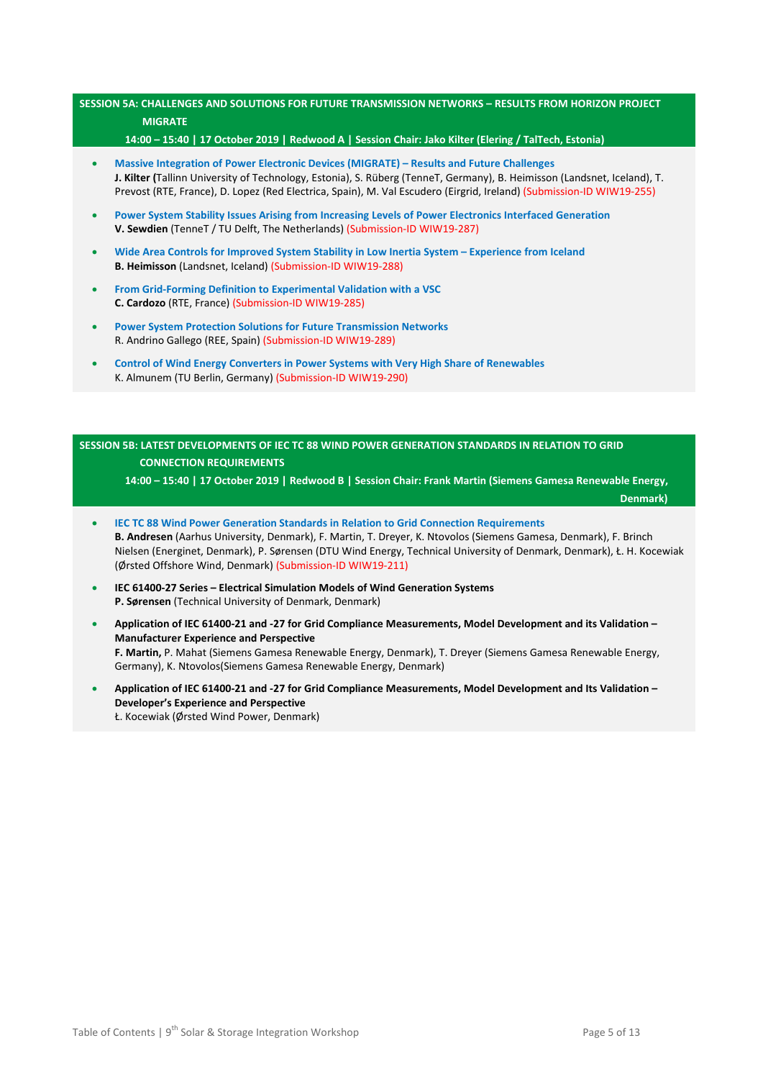## **SESSION 5A: CHALLENGES AND SOLUTIONS FOR FUTURE TRANSMISSION NETWORKS – RESULTS FROM HORIZON PROJECT MIGRATE**

**14:00 – 15:40 | 17 October 2019 | Redwood A | Session Chair: Jako Kilter (Elering / TalTech, Estonia)**

- **Massive Integration of Power Electronic Devices (MIGRATE) – Results and Future Challenges J. Kilter (**Tallinn University of Technology, Estonia), S. Rüberg (TenneT, Germany), B. Heimisson (Landsnet, Iceland), T. Prevost (RTE, France), D. Lopez (Red Electrica, Spain), M. Val Escudero (Eirgrid, Ireland) (Submission-ID WIW19-255)
- **Power System Stability Issues Arising from Increasing Levels of Power Electronics Interfaced Generation V. Sewdien** (TenneT / TU Delft, The Netherlands) (Submission-ID WIW19-287)
- **Wide Area Controls for Improved System Stability in Low Inertia System – Experience from Iceland B. Heimisson** (Landsnet, Iceland) (Submission-ID WIW19-288)
- **From Grid-Forming Definition to Experimental Validation with a VSC C. Cardozo** (RTE, France) (Submission-ID WIW19-285)
- **Power System Protection Solutions for Future Transmission Networks** R. Andrino Gallego (REE, Spain) (Submission-ID WIW19-289)
- **Control of Wind Energy Converters in Power Systems with Very High Share of Renewables** K. Almunem (TU Berlin, Germany) (Submission-ID WIW19-290)

# **SESSION 5B: LATEST DEVELOPMENTS OF IEC TC 88 WIND POWER GENERATION STANDARDS IN RELATION TO GRID CONNECTION REQUIREMENTS**

**14:00 – 15:40 | 17 October 2019 | Redwood B | Session Chair: Frank Martin (Siemens Gamesa Renewable Energy,** 

 **Denmark)**

- **IEC TC 88 Wind Power Generation Standards in Relation to Grid Connection Requirements B. Andresen** (Aarhus University, Denmark), F. Martin, T. Dreyer, K. Ntovolos (Siemens Gamesa, Denmark), F. Brinch Nielsen (Energinet, Denmark), P. Sørensen (DTU Wind Energy, Technical University of Denmark, Denmark), Ł. H. Kocewiak (Ørsted Offshore Wind, Denmark) (Submission-ID WIW19-211)
- **IEC 61400-27 Series – Electrical Simulation Models of Wind Generation Systems P. Sørensen** (Technical University of Denmark, Denmark)
- **Application of IEC 61400-21 and -27 for Grid Compliance Measurements, Model Development and its Validation – Manufacturer Experience and Perspective F. Martin,** P. Mahat (Siemens Gamesa Renewable Energy, Denmark), T. Dreyer (Siemens Gamesa Renewable Energy, Germany), K. Ntovolos(Siemens Gamesa Renewable Energy, Denmark)
- **Application of IEC 61400-21 and -27 for Grid Compliance Measurements, Model Development and Its Validation – Developer's Experience and Perspective** Ł. Kocewiak (Ørsted Wind Power, Denmark)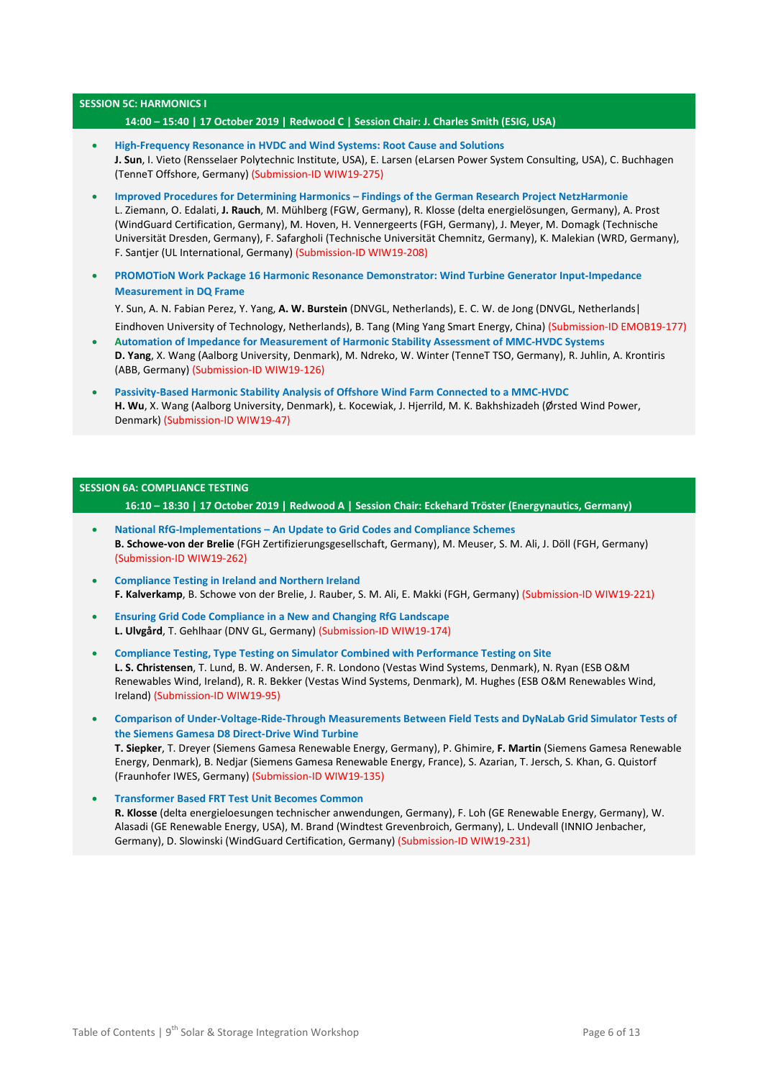### **SESSION 5C: HARMONICS I**

### **14:00 – 15:40 | 17 October 2019 | Redwood C | Session Chair: J. Charles Smith (ESIG, USA)**

- **High-Frequency Resonance in HVDC and Wind Systems: Root Cause and Solutions J. Sun**, I. Vieto (Rensselaer Polytechnic Institute, USA), E. Larsen (eLarsen Power System Consulting, USA), C. Buchhagen (TenneT Offshore, Germany) (Submission-ID WIW19-275)
- **Improved Procedures for Determining Harmonics – Findings of the German Research Project NetzHarmonie** L. Ziemann, O. Edalati, **J. Rauch**, M. Mühlberg (FGW, Germany), R. Klosse (delta energielösungen, Germany), A. Prost (WindGuard Certification, Germany), M. Hoven, H. Vennergeerts (FGH, Germany), J. Meyer, M. Domagk (Technische Universität Dresden, Germany), F. Safargholi (Technische Universität Chemnitz, Germany), K. Malekian (WRD, Germany), F. Santjer (UL International, Germany) (Submission-ID WIW19-208)
- **PROMOTioN Work Package 16 Harmonic Resonance Demonstrator: Wind Turbine Generator Input-Impedance Measurement in DQ Frame**
	- Y. Sun, A. N. Fabian Perez, Y. Yang, **A. W. Burstein** (DNVGL, Netherlands), E. C. W. de Jong (DNVGL, Netherlands|

Eindhoven University of Technology, Netherlands), B. Tang (Ming Yang Smart Energy, China) (Submission-ID EMOB19-177) • **Automation of Impedance for Measurement of Harmonic Stability Assessment of MMC-HVDC Systems**

- **D. Yang**, X. Wang (Aalborg University, Denmark), M. Ndreko, W. Winter (TenneT TSO, Germany), R. Juhlin, A. Krontiris (ABB, Germany) (Submission-ID WIW19-126)
- **Passivity-Based Harmonic Stability Analysis of Offshore Wind Farm Connected to a MMC-HVDC H. Wu**, X. Wang (Aalborg University, Denmark), Ł. Kocewiak, J. Hjerrild, M. K. Bakhshizadeh (Ørsted Wind Power, Denmark) (Submission-ID WIW19-47)

### **SESSION 6A: COMPLIANCE TESTING**

**16:10 – 18:30 | 17 October 2019 | Redwood A | Session Chair: Eckehard Tröster (Energynautics, Germany)**

- **National RfG-Implementations – An Update to Grid Codes and Compliance Schemes B. Schowe-von der Brelie** (FGH Zertifizierungsgesellschaft, Germany), M. Meuser, S. M. Ali, J. Döll (FGH, Germany) (Submission-ID WIW19-262)
- **Compliance Testing in Ireland and Northern Ireland F. Kalverkamp**, B. Schowe von der Brelie, J. Rauber, S. M. Ali, E. Makki (FGH, Germany) (Submission-ID WIW19-221)
- **Ensuring Grid Code Compliance in a New and Changing RfG Landscape L. Ulvgård**, T. Gehlhaar (DNV GL, Germany) (Submission-ID WIW19-174)
- **Compliance Testing, Type Testing on Simulator Combined with Performance Testing on Site L. S. Christensen**, T. Lund, B. W. Andersen, F. R. Londono (Vestas Wind Systems, Denmark), N. Ryan (ESB O&M Renewables Wind, Ireland), R. R. Bekker (Vestas Wind Systems, Denmark), M. Hughes (ESB O&M Renewables Wind, Ireland) (Submission-ID WIW19-95)
- **Comparison of Under-Voltage-Ride-Through Measurements Between Field Tests and DyNaLab Grid Simulator Tests of the Siemens Gamesa D8 Direct-Drive Wind Turbine T. Siepker**, T. Dreyer (Siemens Gamesa Renewable Energy, Germany), P. Ghimire, **F. Martin** (Siemens Gamesa Renewable Energy, Denmark), B. Nedjar (Siemens Gamesa Renewable Energy, France), S. Azarian, T. Jersch, S. Khan, G. Quistorf (Fraunhofer IWES, Germany) (Submission-ID WIW19-135)
- **Transformer Based FRT Test Unit Becomes Common R. Klosse** (delta energieloesungen technischer anwendungen, Germany), F. Loh (GE Renewable Energy, Germany), W. Alasadi (GE Renewable Energy, USA), M. Brand (Windtest Grevenbroich, Germany), L. Undevall (INNIO Jenbacher, Germany), D. Slowinski (WindGuard Certification, Germany) (Submission-ID WIW19-231)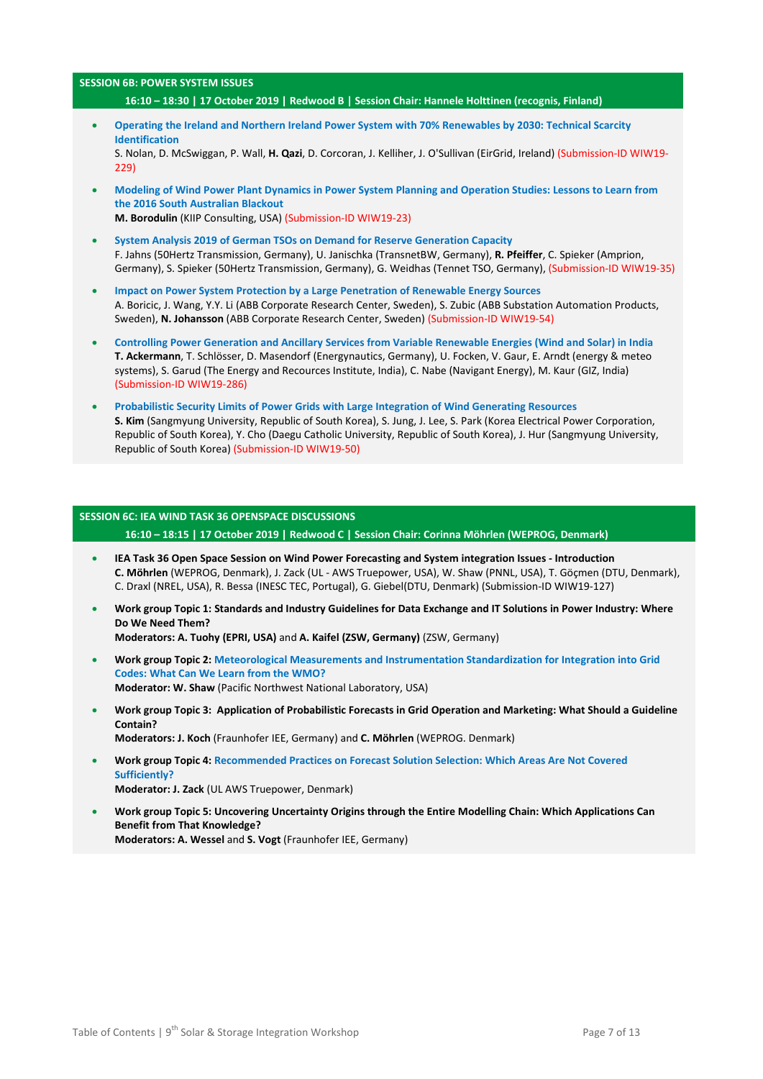# **SESSION 6B: POWER SYSTEM ISSUES**

- **16:10 – 18:30 | 17 October 2019 | Redwood B | Session Chair: Hannele Holttinen (recognis, Finland)**
- **Operating the Ireland and Northern Ireland Power System with 70% Renewables by 2030: Technical Scarcity Identification** S. Nolan, D. McSwiggan, P. Wall, **H. Qazi**, D. Corcoran, J. Kelliher, J. O'Sullivan (EirGrid, Ireland) (Submission-ID WIW19-  $229$
- **Modeling of Wind Power Plant Dynamics in Power System Planning and Operation Studies: Lessons to Learn from the 2016 South Australian Blackout M. Borodulin** (KIIP Consulting, USA) (Submission-ID WIW19-23)
- **System Analysis 2019 of German TSOs on Demand for Reserve Generation Capacity** F. Jahns (50Hertz Transmission, Germany), U. Janischka (TransnetBW, Germany), **R. Pfeiffer**, C. Spieker (Amprion, Germany), S. Spieker (50Hertz Transmission, Germany), G. Weidhas (Tennet TSO, Germany), (Submission-ID WIW19-35)
- **Impact on Power System Protection by a Large Penetration of Renewable Energy Sources** A. Boricic, J. Wang, Y.Y. Li (ABB Corporate Research Center, Sweden), S. Zubic (ABB Substation Automation Products, Sweden), **N. Johansson** (ABB Corporate Research Center, Sweden) (Submission-ID WIW19-54)
- **Controlling Power Generation and Ancillary Services from Variable Renewable Energies (Wind and Solar) in India T. Ackermann**, T. Schlösser, D. Masendorf (Energynautics, Germany), U. Focken, V. Gaur, E. Arndt (energy & meteo systems), S. Garud (The Energy and Recources Institute, India), C. Nabe (Navigant Energy), M. Kaur (GIZ, India) (Submission-ID WIW19-286)
- **Probabilistic Security Limits of Power Grids with Large Integration of Wind Generating Resources S. Kim** (Sangmyung University, Republic of South Korea), S. Jung, J. Lee, S. Park (Korea Electrical Power Corporation, Republic of South Korea), Y. Cho (Daegu Catholic University, Republic of South Korea), J. Hur (Sangmyung University, Republic of South Korea) (Submission-ID WIW19-50)

### **SESSION 6C: IEA WIND TASK 36 OPENSPACE DISCUSSIONS**

**16:10 – 18:15 | 17 October 2019 | Redwood C | Session Chair: Corinna Möhrlen (WEPROG, Denmark)**

- **IEA Task 36 Open Space Session on Wind Power Forecasting and System integration Issues - Introduction C. Möhrlen** (WEPROG, Denmark), J. Zack (UL - AWS Truepower, USA), W. Shaw (PNNL, USA), T. Göçmen (DTU, Denmark), C. Draxl (NREL, USA), R. Bessa (INESC TEC, Portugal), G. Giebel(DTU, Denmark) (Submission-ID WIW19-127)
- **Work group Topic 1: Standards and Industry Guidelines for Data Exchange and IT Solutions in Power Industry: Where Do We Need Them? Moderators: A. Tuohy (EPRI, USA)** and **A. Kaifel (ZSW, Germany)** (ZSW, Germany)
- **Work group Topic 2: Meteorological Measurements and Instrumentation Standardization for Integration into Grid Codes: What Can We Learn from the WMO?**
	- **Moderator: W. Shaw** (Pacific Northwest National Laboratory, USA)
- **Work group Topic 3: Application of Probabilistic Forecasts in Grid Operation and Marketing: What Should a Guideline Contain? Moderators: J. Koch** (Fraunhofer IEE, Germany) and **C. Möhrlen** (WEPROG. Denmark)
- **Work group Topic 4: Recommended Practices on Forecast Solution Selection: Which Areas Are Not Covered Sufficiently? Moderator: J. Zack** (UL AWS Truepower, Denmark)
- **Work group Topic 5: Uncovering Uncertainty Origins through the Entire Modelling Chain: Which Applications Can Benefit from That Knowledge? Moderators: A. Wessel** and **S. Vogt** (Fraunhofer IEE, Germany)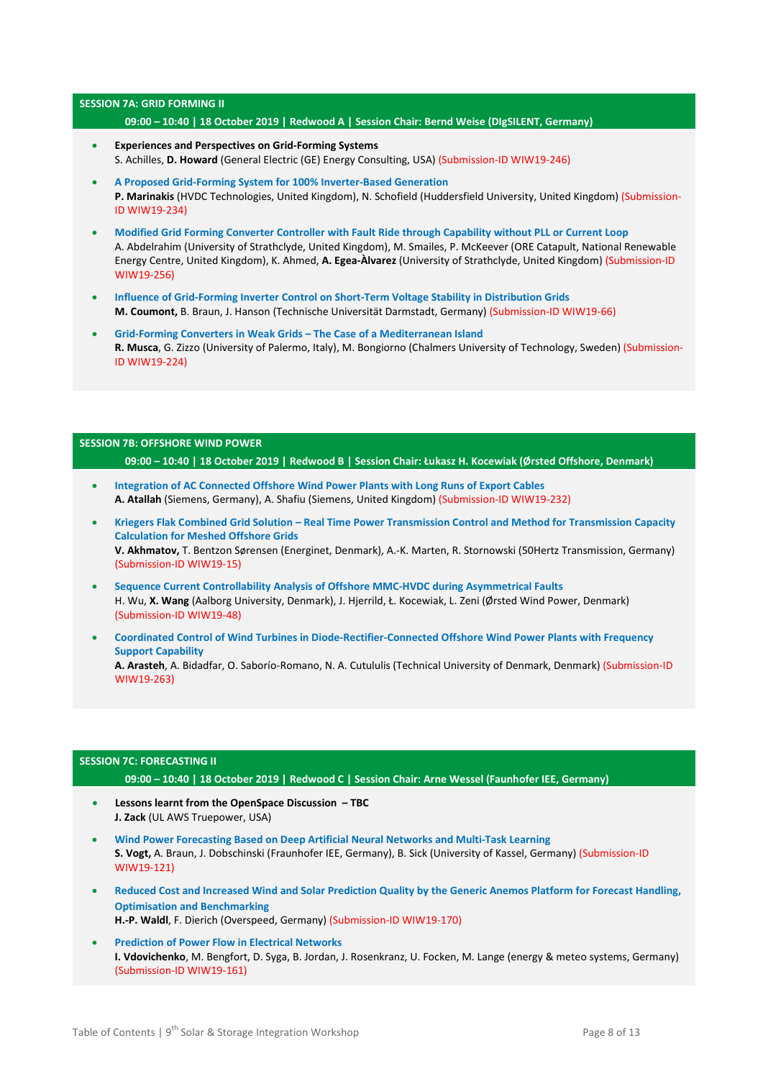#### **SESSION 7A: GRID FORMING II**

### **09:00 – 10:40 | 18 October 2019 | Redwood A | Session Chair: Bernd Weise (DIgSILENT, Germany)**

- **Experiences and Perspectives on Grid-Forming Systems** S. Achilles, **D. Howard** (General Electric (GE) Energy Consulting, USA) (Submission-ID WIW19-246)
- **A Proposed Grid-Forming System for 100% Inverter-Based Generation P. Marinakis** (HVDC Technologies, United Kingdom), N. Schofield (Huddersfield University, United Kingdom) (Submission-ID WIW19-234)
- **Modified Grid Forming Converter Controller with Fault Ride through Capability without PLL or Current Loop** A. Abdelrahim (University of Strathclyde, United Kingdom), M. Smailes, P. McKeever (ORE Catapult, National Renewable Energy Centre, United Kingdom), K. Ahmed, **A. Egea-Àlvarez** (University of Strathclyde, United Kingdom) (Submission-ID WIW19-256)
- **Influence of Grid-Forming Inverter Control on Short-Term Voltage Stability in Distribution Grids M. Coumont,** B. Braun, J. Hanson (Technische Universität Darmstadt, Germany) (Submission-ID WIW19-66)
- **Grid-Forming Converters in Weak Grids – The Case of a Mediterranean Island R. Musca**, G. Zizzo (University of Palermo, Italy), M. Bongiorno (Chalmers University of Technology, Sweden) (Submission-ID WIW19-224)

## **SESSION 7B: OFFSHORE WIND POWER 09:00 – 10:40 | 18 October 2019 | Redwood B | Session Chair: Łukasz H. Kocewiak (Ørsted Offshore, Denmark)**

- **Integration of AC Connected Offshore Wind Power Plants with Long Runs of Export Cables A. Atallah** (Siemens, Germany), A. Shafiu (Siemens, United Kingdom) (Submission-ID WIW19-232)
- **Kriegers Flak Combined Grid Solution – Real Time Power Transmission Control and Method for Transmission Capacity Calculation for Meshed Offshore Grids V. Akhmatov,** T. Bentzon Sørensen (Energinet, Denmark), A.-K. Marten, R. Stornowski (50Hertz Transmission, Germany) (Submission-ID WIW19-15)
- **Sequence Current Controllability Analysis of Offshore MMC-HVDC during Asymmetrical Faults** H. Wu, **X. Wang** (Aalborg University, Denmark), J. Hjerrild, Ł. Kocewiak, L. Zeni (Ørsted Wind Power, Denmark) (Submission-ID WIW19-48)
- **Coordinated Control of Wind Turbines in Diode-Rectifier-Connected Offshore Wind Power Plants with Frequency Support Capability A. Arasteh**, A. Bidadfar, O. Saborío-Romano, N. A. Cutululis (Technical University of Denmark, Denmark) (Submission-ID WIW19-263)

### **SESSION 7C: FORECASTING II**

#### **09:00 – 10:40 | 18 October 2019 | Redwood C | Session Chair: Arne Wessel (Faunhofer IEE, Germany)**

- **Lessons learnt from the OpenSpace Discussion – TBC J. Zack** (UL AWS Truepower, USA)
- **Wind Power Forecasting Based on Deep Artificial Neural Networks and Multi-Task Learning S. Vogt,** A. Braun, J. Dobschinski (Fraunhofer IEE, Germany), B. Sick (University of Kassel, Germany) (Submission-ID WIW19-121)
- **Reduced Cost and Increased Wind and Solar Prediction Quality by the Generic Anemos Platform for Forecast Handling, Optimisation and Benchmarking**
	- **H.-P. Waldl**, F. Dierich (Overspeed, Germany) (Submission-ID WIW19-170)
- **Prediction of Power Flow in Electrical Networks I. Vdovichenko**, M. Bengfort, D. Syga, B. Jordan, J. Rosenkranz, U. Focken, M. Lange (energy & meteo systems, Germany) (Submission-ID WIW19-161)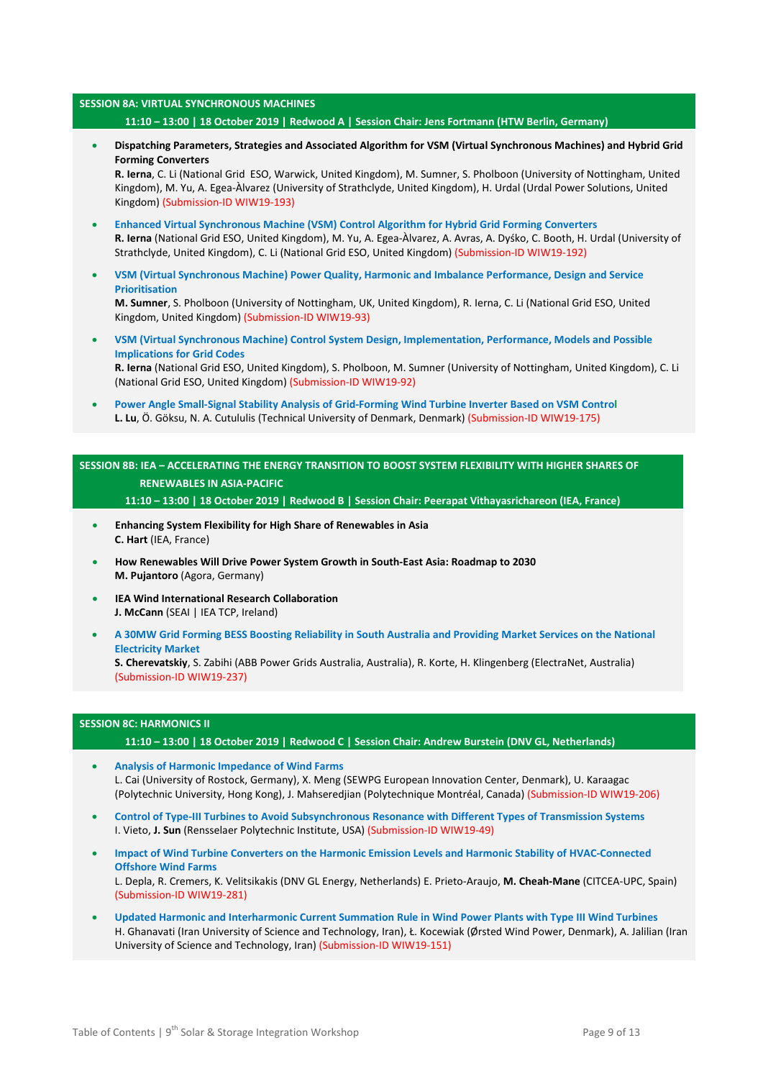#### **SESSION 8A: VIRTUAL SYNCHRONOUS MACHINES**

### **11:10 – 13:00 | 18 October 2019 | Redwood A | Session Chair: Jens Fortmann (HTW Berlin, Germany)**

• **Dispatching Parameters, Strategies and Associated Algorithm for VSM (Virtual Synchronous Machines) and Hybrid Grid Forming Converters**

**R. Ierna**, C. Li (National Grid ESO, Warwick, United Kingdom), M. Sumner, S. Pholboon (University of Nottingham, United Kingdom), M. Yu, A. Egea-Àlvarez (University of Strathclyde, United Kingdom), H. Urdal (Urdal Power Solutions, United Kingdom) (Submission-ID WIW19-193)

- **Enhanced Virtual Synchronous Machine (VSM) Control Algorithm for Hybrid Grid Forming Converters R. Ierna** (National Grid ESO, United Kingdom), M. Yu, A. Egea-Àlvarez, A. Avras, A. Dyśko, C. Booth, H. Urdal (University of Strathclyde, United Kingdom), C. Li (National Grid ESO, United Kingdom) (Submission-ID WIW19-192)
- **VSM (Virtual Synchronous Machine) Power Quality, Harmonic and Imbalance Performance, Design and Service Prioritisation**

**M. Sumner**, S. Pholboon (University of Nottingham, UK, United Kingdom), R. Ierna, C. Li (National Grid ESO, United Kingdom, United Kingdom) (Submission-ID WIW19-93)

- **VSM (Virtual Synchronous Machine) Control System Design, Implementation, Performance, Models and Possible Implications for Grid Codes R. Ierna** (National Grid ESO, United Kingdom), S. Pholboon, M. Sumner (University of Nottingham, United Kingdom), C. Li (National Grid ESO, United Kingdom) (Submission-ID WIW19-92)
- **Power Angle Small-Signal Stability Analysis of Grid-Forming Wind Turbine Inverter Based on VSM Control L. Lu**, Ö. Göksu, N. A. Cutululis (Technical University of Denmark, Denmark) (Submission-ID WIW19-175)

**SESSION 8B: IEA – ACCELERATING THE ENERGY TRANSITION TO BOOST SYSTEM FLEXIBILITY WITH HIGHER SHARES OF RENEWABLES IN ASIA-PACIFIC**

**11:10 – 13:00 | 18 October 2019 | Redwood B | Session Chair: Peerapat Vithayasrichareon (IEA, France)**

- **Enhancing System Flexibility for High Share of Renewables in Asia C. Hart** (IEA, France)
- **How Renewables Will Drive Power System Growth in South-East Asia: Roadmap to 2030 M. Pujantoro** (Agora, Germany)
- **IEA Wind International Research Collaboration J. McCann** (SEAI | IEA TCP, Ireland)
- **A 30MW Grid Forming BESS Boosting Reliability in South Australia and Providing Market Services on the National Electricity Market**

**S. Cherevatskiy**, S. Zabihi (ABB Power Grids Australia, Australia), R. Korte, H. Klingenberg (ElectraNet, Australia) (Submission-ID WIW19-237)

### **SESSION 8C: HARMONICS II**

**11:10 – 13:00 | 18 October 2019 | Redwood C | Session Chair: Andrew Burstein (DNV GL, Netherlands)**

- **Analysis of Harmonic Impedance of Wind Farms** L. Cai (University of Rostock, Germany), X. Meng (SEWPG European Innovation Center, Denmark), U. Karaagac (Polytechnic University, Hong Kong), J. Mahseredjian (Polytechnique Montréal, Canada) (Submission-ID WIW19-206)
- **Control of Type-III Turbines to Avoid Subsynchronous Resonance with Different Types of Transmission Systems** I. Vieto, **J. Sun** (Rensselaer Polytechnic Institute, USA) (Submission-ID WIW19-49)
- **Impact of Wind Turbine Converters on the Harmonic Emission Levels and Harmonic Stability of HVAC-Connected Offshore Wind Farms** L. Depla, R. Cremers, K. Velitsikakis (DNV GL Energy, Netherlands) E. Prieto-Araujo, **M. Cheah-Mane** (CITCEA-UPC, Spain) (Submission-ID WIW19-281)
- **Updated Harmonic and Interharmonic Current Summation Rule in Wind Power Plants with Type III Wind Turbines** H. Ghanavati (Iran University of Science and Technology, Iran), Ł. Kocewiak (Ørsted Wind Power, Denmark), A. Jalilian (Iran University of Science and Technology, Iran) (Submission-ID WIW19-151)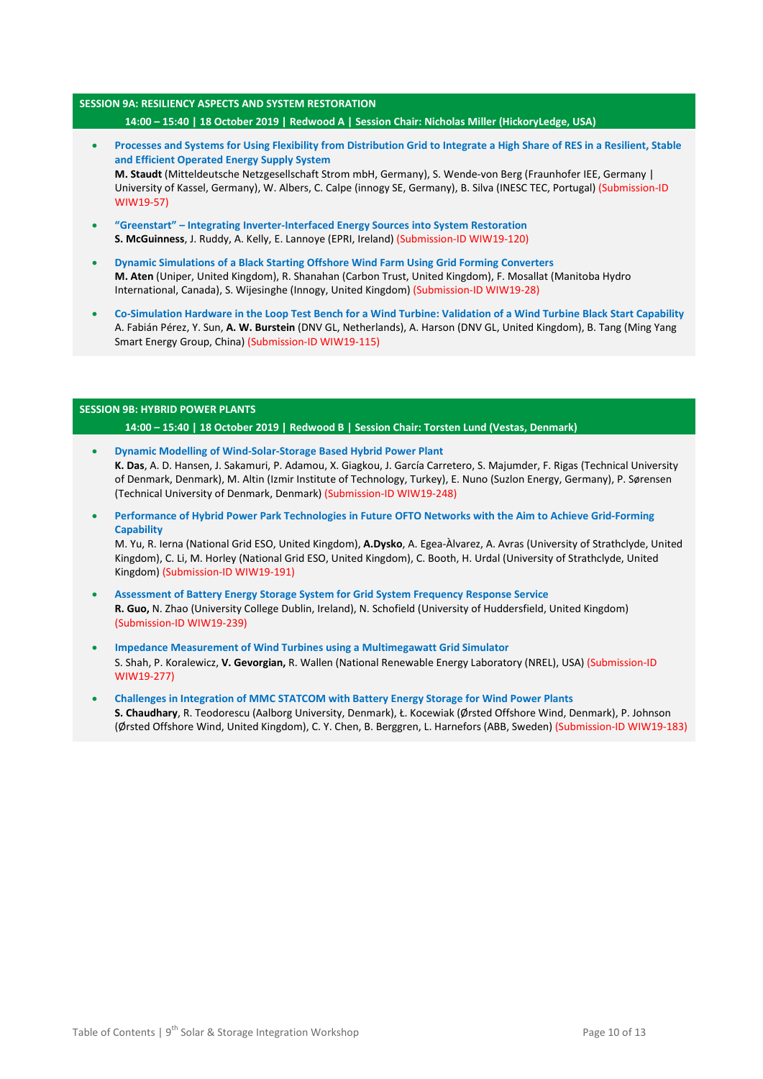## **SESSION 9A: RESILIENCY ASPECTS AND SYSTEM RESTORATION 14:00 – 15:40 | 18 October 2019 | Redwood A | Session Chair: Nicholas Miller (HickoryLedge, USA)**

- **Processes and Systems for Using Flexibility from Distribution Grid to Integrate a High Share of RES in a Resilient, Stable and Efficient Operated Energy Supply System M. Staudt** (Mitteldeutsche Netzgesellschaft Strom mbH, Germany), S. Wende-von Berg (Fraunhofer IEE, Germany | University of Kassel, Germany), W. Albers, C. Calpe (innogy SE, Germany), B. Silva (INESC TEC, Portugal) (Submission-ID WIW19-57)
- **"Greenstart" – Integrating Inverter-Interfaced Energy Sources into System Restoration S. McGuinness**, J. Ruddy, A. Kelly, E. Lannoye (EPRI, Ireland) (Submission-ID WIW19-120)
- **Dynamic Simulations of a Black Starting Offshore Wind Farm Using Grid Forming Converters M. Aten** (Uniper, United Kingdom), R. Shanahan (Carbon Trust, United Kingdom), F. Mosallat (Manitoba Hydro International, Canada), S. Wijesinghe (Innogy, United Kingdom) (Submission-ID WIW19-28)
- **Co-Simulation Hardware in the Loop Test Bench for a Wind Turbine: Validation of a Wind Turbine Black Start Capability** A. Fabián Pérez, Y. Sun, **A. W. Burstein** (DNV GL, Netherlands), A. Harson (DNV GL, United Kingdom), B. Tang (Ming Yang Smart Energy Group, China) (Submission-ID WIW19-115)

### **SESSION 9B: HYBRID POWER PLANTS**

**14:00 – 15:40 | 18 October 2019 | Redwood B | Session Chair: Torsten Lund (Vestas, Denmark)**

- **Dynamic Modelling of Wind-Solar-Storage Based Hybrid Power Plant K. Das**, A. D. Hansen, J. Sakamuri, P. Adamou, X. Giagkou, J. García Carretero, S. Majumder, F. Rigas (Technical University of Denmark, Denmark), M. Altin (Izmir Institute of Technology, Turkey), E. Nuno (Suzlon Energy, Germany), P. Sørensen (Technical University of Denmark, Denmark) (Submission-ID WIW19-248)
- **Performance of Hybrid Power Park Technologies in Future OFTO Networks with the Aim to Achieve Grid-Forming Capability**

M. Yu, R. Ierna (National Grid ESO, United Kingdom), **A.Dysko**, A. Egea-Àlvarez, A. Avras (University of Strathclyde, United Kingdom), C. Li, M. Horley (National Grid ESO, United Kingdom), C. Booth, H. Urdal (University of Strathclyde, United Kingdom) (Submission-ID WIW19-191)

- **Assessment of Battery Energy Storage System for Grid System Frequency Response Service R. Guo,** N. Zhao (University College Dublin, Ireland), N. Schofield (University of Huddersfield, United Kingdom) (Submission-ID WIW19-239)
- **Impedance Measurement of Wind Turbines using a Multimegawatt Grid Simulator** S. Shah, P. Koralewicz, **V. Gevorgian,** R. Wallen (National Renewable Energy Laboratory (NREL), USA) (Submission-ID WIW19-277)
- **Challenges in Integration of MMC STATCOM with Battery Energy Storage for Wind Power Plants S. Chaudhary**, R. Teodorescu (Aalborg University, Denmark), Ł. Kocewiak (Ørsted Offshore Wind, Denmark), P. Johnson (Ørsted Offshore Wind, United Kingdom), C. Y. Chen, B. Berggren, L. Harnefors (ABB, Sweden) (Submission-ID WIW19-183)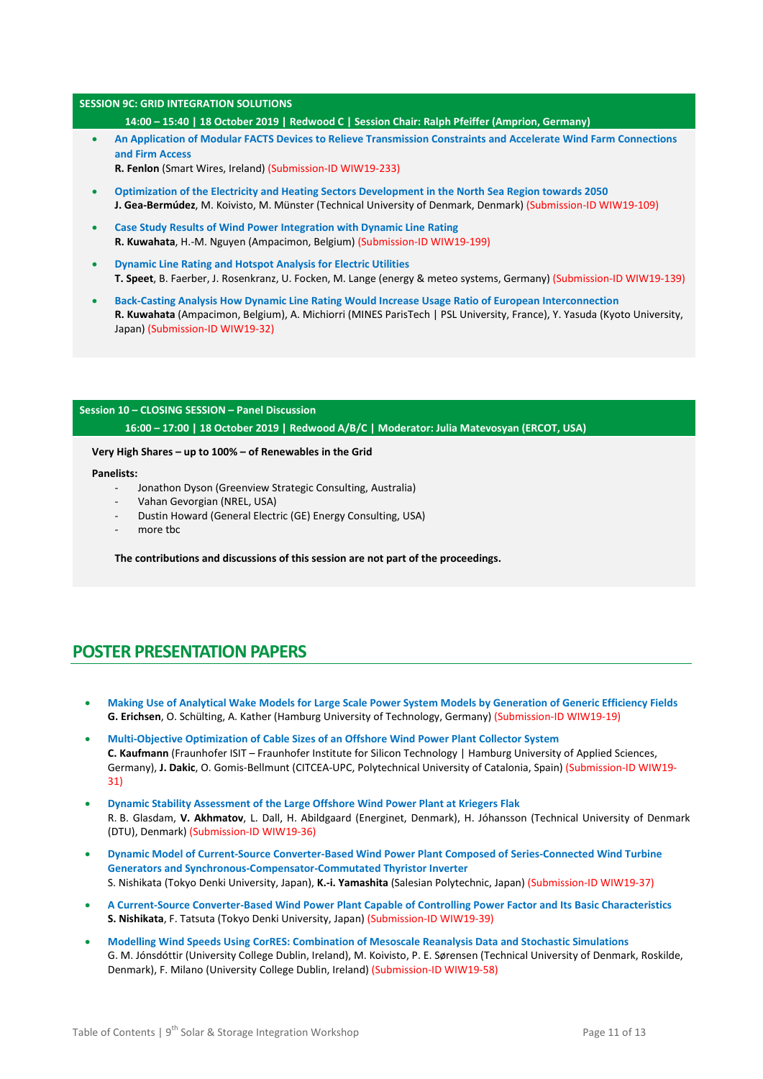### **SESSION 9C: GRID INTEGRATION SOLUTIONS**

**14:00 – 15:40 | 18 October 2019 | Redwood C | Session Chair: Ralph Pfeiffer (Amprion, Germany)**

- **An Application of Modular FACTS Devices to Relieve Transmission Constraints and Accelerate Wind Farm Connections and Firm Access** 
	- **R. Fenlon** (Smart Wires, Ireland) (Submission-ID WIW19-233)
- **Optimization of the Electricity and Heating Sectors Development in the North Sea Region towards 2050 J. Gea-Bermúdez**, M. Koivisto, M. Münster (Technical University of Denmark, Denmark) (Submission-ID WIW19-109)
- **Case Study Results of Wind Power Integration with Dynamic Line Rating R. Kuwahata**, H.-M. Nguyen (Ampacimon, Belgium) (Submission-ID WIW19-199)
- **Dynamic Line Rating and Hotspot Analysis for Electric Utilities T. Speet**, B. Faerber, J. Rosenkranz, U. Focken, M. Lange (energy & meteo systems, Germany) (Submission-ID WIW19-139)
- **Back-Casting Analysis How Dynamic Line Rating Would Increase Usage Ratio of European Interconnection R. Kuwahata** (Ampacimon, Belgium), A. Michiorri (MINES ParisTech | PSL University, France), Y. Yasuda (Kyoto University, Japan) (Submission-ID WIW19-32)

# **Session 10 – CLOSING SESSION – Panel Discussion 16:00 – 17:00 | 18 October 2019 | Redwood A/B/C | Moderator: Julia Matevosyan (ERCOT, USA)**

### **Very High Shares – up to 100% – of Renewables in the Grid**

#### **Panelists:**

- Jonathon Dyson (Greenview Strategic Consulting, Australia)
- Vahan Gevorgian (NREL, USA)
- Dustin Howard (General Electric (GE) Energy Consulting, USA)
- more tbc

**The contributions and discussions of this session are not part of the proceedings.**

# **POSTER PRESENTATION PAPERS**

- **Making Use of Analytical Wake Models for Large Scale Power System Models by Generation of Generic Efficiency Fields G. Erichsen**, O. Schülting, A. Kather (Hamburg University of Technology, Germany) (Submission-ID WIW19-19)
- **Multi-Objective Optimization of Cable Sizes of an Offshore Wind Power Plant Collector System C. Kaufmann** (Fraunhofer ISIT – Fraunhofer Institute for Silicon Technology | Hamburg University of Applied Sciences, Germany), **J. Dakic**, O. Gomis-Bellmunt (CITCEA-UPC, Polytechnical University of Catalonia, Spain) (Submission-ID WIW19- 31)
- **Dynamic Stability Assessment of the Large Offshore Wind Power Plant at Kriegers Flak** R. B. Glasdam, **V. Akhmatov**, L. Dall, H. Abildgaard (Energinet, Denmark), H. Jóhansson (Technical University of Denmark (DTU), Denmark) (Submission-ID WIW19-36)
- **Dynamic Model of Current-Source Converter-Based Wind Power Plant Composed of Series-Connected Wind Turbine Generators and Synchronous-Compensator-Commutated Thyristor Inverter** S. Nishikata (Tokyo Denki University, Japan), **K.-i. Yamashita** (Salesian Polytechnic, Japan) (Submission-ID WIW19-37)
- **A Current-Source Converter-Based Wind Power Plant Capable of Controlling Power Factor and Its Basic Characteristics S. Nishikata**, F. Tatsuta (Tokyo Denki University, Japan) (Submission-ID WIW19-39)
- **Modelling Wind Speeds Using CorRES: Combination of Mesoscale Reanalysis Data and Stochastic Simulations** G. M. Jónsdóttir (University College Dublin, Ireland), M. Koivisto, P. E. Sørensen (Technical University of Denmark, Roskilde, Denmark), F. Milano (University College Dublin, Ireland) (Submission-ID WIW19-58)